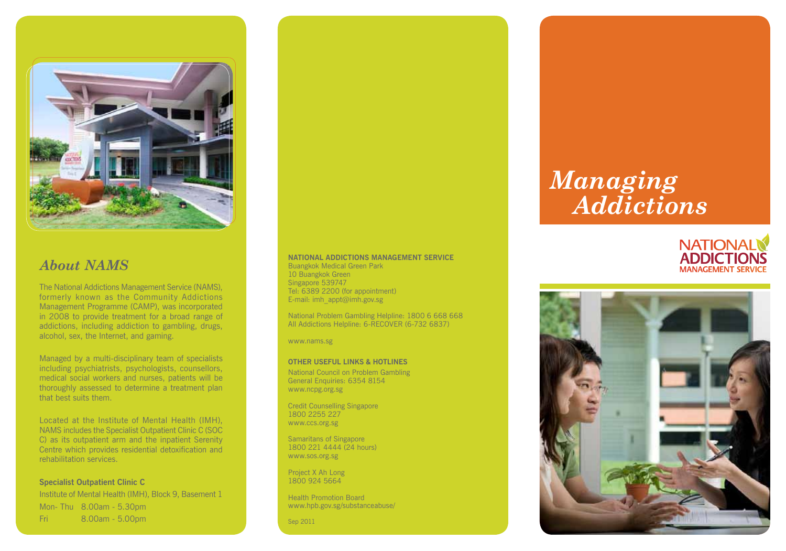

### *About NAMS*

The National Addictions Management Service (NAMS), formerly known as the Community Addictions Management Programme (CAMP), was incorporated in 2008 to provide treatment for a broad range of addictions, including addiction to gambling, drugs, alcohol, sex, the Internet, and gaming.

Managed by a multi-disciplinary team of specialists including psychiatrists, psychologists, counsellors, medical social workers and nurses, patients will be thoroughly assessed to determine a treatment plan that best suits them.

Located at the Institute of Mental Health (IMH), NAMS includes the Specialist Outpatient Clinic C (SOC C) as its outpatient arm and the inpatient Serenity Centre which provides residential detoxification and rehabilitation services.

**Specialist Outpatient Clinic C**  Institute of Mental Health (IMH), Block 9, Basement 1 Mon- Thu 8.00am - 5.30pm Fri 8.00am - 5.00pm

#### **NATIONAL ADDICTIONS MANAGEMENT SERVICE**

Buangkok Medical Green Park 10 Buangkok Green Singapore 539747 Tel: 6389 2200 (for appointment) E-mail: imh\_appt@imh.gov.sg

National Problem Gambling Helpline: 1800 6 668 668 All Addictions Helpline: 6-RECOVER (6-732 6837)

www.nams.sg

#### **OTHER USEFUL LINKS & HOTLINES**

National Council on Problem Gambling General Enquiries: 6354 8154 www.ncpg.org.sg

Credit Counselling Singapore 1800 2255 227 www.ccs.org.sg

Samaritans of Singapore 1800 221 4444 (24 hours) www.sos.org.sg

Project X Ah Long 1800 924 5664

Health Promotion Board www.hpb.gov.sg/substanceabuse/

Sep 2011

# *Managing Addictions*